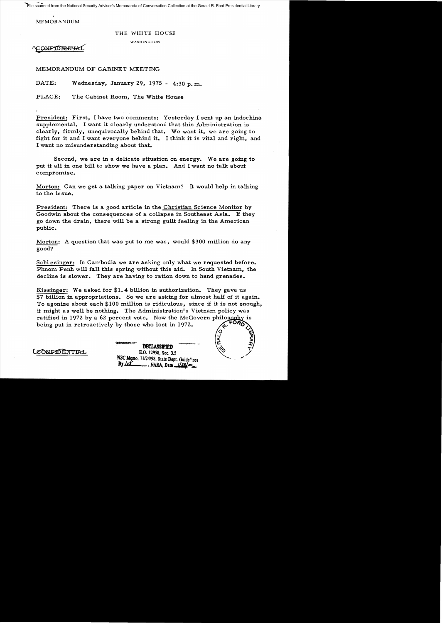File scanned from the National Security Adviser's Memoranda of Conversation Collection at the Gerald R. Ford Presidential Library

MEMORANDUM

## THE WHITE HOUSE

## WASHINGTON

**ONPIDENTIA** 

MEMORANDUM OF CABINET MEETING

DATE: Wednesday, January 29, 1975 - 4:30 p. m.

PLACE: The Cabinet Room, The White House

President: First, I have two comments: Yesterday I sent up an Indochina supplemental. I want it clearly understood that this Administration is clearly, firmly, unequivocally behind that. We want it, we are going to fight for it and I want everyone behind it. I think it is vital and right, and I want no misunderstanding about that.

Second, we are in a delicate situation on energy. We are going to put it all in one bill to show we have a plan. And I want no talk about compromise.

Morton: Can we get a talking paper on Vietnam? It would help in talking to the is sue.

President: There is a good article in the Christian Science Monitor by Goodwin about the consequences of a collapse in Southeast Asia. If they go down the drain, there will be a strong guilt feeling in the American public.

Morton: A question that was put to me was, would \$300 million do any good?

Schl esinger: In Cambodia we are asking only what we requested before. Phnom Penh will fall this spring without this aid. In South Vietnam, the decline is slower. They are having to ration down to hand grenades.

Kissinger: We asked for \$1.4 billion in authorization. They gave us \$7 billion in appropriations. So we are asking for almost half of it again. To agonize about each \$100 million is ridiculous, since jf it is not enough, it might as well be nothing. The Administration's Vietnam policy was ratified in 1972 by a 62 percent vote. Now the McGovern philosophy is being put in retroactively by those who lost in 1972.

 $\acute{\diamond}$ ...J ड़  $\sim$ 

LEONFIDENTIAL

**DBCLASSIFIED** E.O. 12958, Sec. 3.5 NSC Memo, 11/24/98, State Dept. Guide<sup>17</sup>ues<br>By *Lex*<br>NARA Data 1/20/00 *B1Jd=* .NARA. **Dalo..JJa/.lIO\_**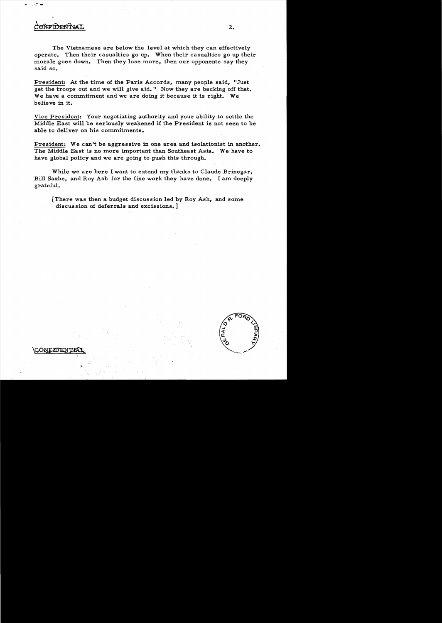## **TDENTYA**

The Vietnamese are below the level at which they can effectively operate. Then their casualties go up. When their casualties go up their morale goes down. Then they lose more, then our opponents say they said so.

President: At the time of the Paris Accords, many people said, "Just get the troops out and we will give aid." Now they are backing off that. We have a commitment and we are doing it because it is right. We believe in it.

Vice President: Your negotiating authority and your ability to settle the Middle East will be seriously weakened if the President is not seen to be able to deliver on his commitments.

President: We can't be aggressive in one area and isolationist in another. The Middle East is no more important than Southeast Asia. We have to have global policy and we are going to push this through.

While we are here I want to extend my thanks to Claude Brinegar, Bill Saxbe, and Roy Ash for the fine work they have done. I am deeply grateful.

[There was then a budget discussion led by Roy Ash, and some discussion of deferrals and excissions. ]

2.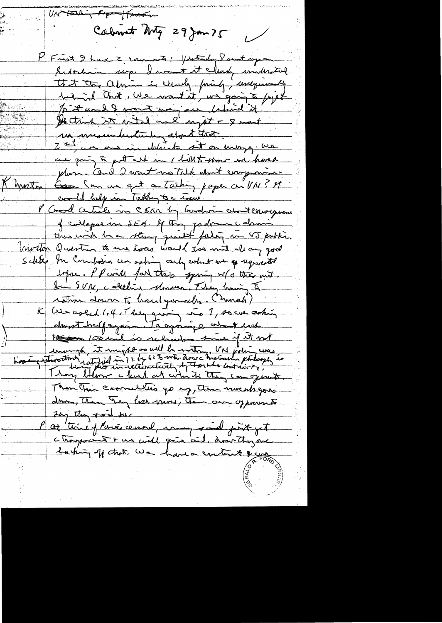UK tarking Pope (Fertigun Calment Mg 29 Jan 75 Frist I have Z comments: /wander Sant syran Indochain sup. I want it clearly understand that the admin is ellerly friends, unequally believed and the we want it, we going to get sitt and I want was passed in the original of He trink it with one ugat + 8 mont sur mesureducture about that. are going to put and in I like to show we have pluma Cond 2 wont no Talk what compraisan Good Comment of Talking paper on VIV! It Khreton coordel help in Taking to c rise. Good certicle in SSAR by bordin about consequence of conteparant SEG. If they padvin chanthus with he a strong quantity failing me VS public. nivelon Question to une issues would give mit als any good Schles In Combain cen acting only what we as ugurented before. I P will fail this spiring w/s their mit. Jan SVIL, calledine Monder. They having I ration down to have your class (Swaah) K We asked 1.4, They giving in 1, so we asking dans the payment to agoing a what hash to contail is reliefer to if it not enough, it might as well be without in forting were Than This casomellis go my, then nursh gons drive, Then Try has more, The own of provents Jay they swil se Pat time of languand, many said just get chargement + un civil quie aid, another are backing of that we have entert the